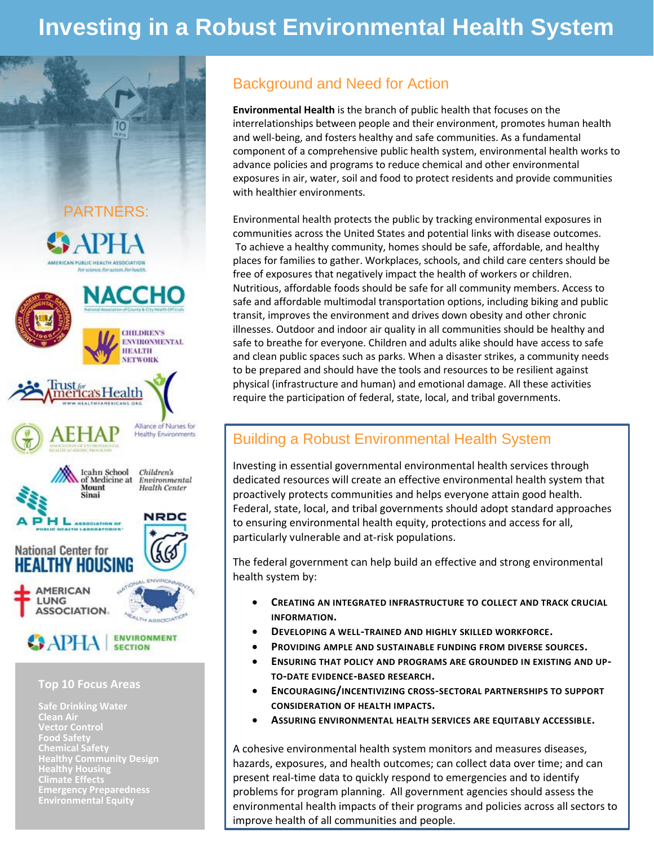# **Investing in a Robust Environmental Health System**



**Safe Drinking Water Clean Air Food Safety Chemical Safety Healthy Community Design Climate Effects Environmental Equity**

### Background and Need for Action

**Environmental Health** is the branch of public health that focuses on the interrelationships between people and their environment, promotes human health and well-being, and fosters healthy and safe communities. As a fundamental component of a comprehensive public health system, environmental health works to advance policies and programs to reduce chemical and other environmental exposures in air, water, soil and food to protect residents and provide communities with healthier environments.

Environmental health protects the public by tracking environmental exposures in communities across the United States and potential links with disease outcomes. To achieve a healthy community, homes should be safe, affordable, and healthy places for families to gather. Workplaces, schools, and child care centers should be free of exposures that negatively impact the health of workers or children. Nutritious, affordable foods should be safe for all community members. Access to safe and affordable multimodal transportation options, including biking and public transit, improves the environment and drives down obesity and other chronic illnesses. Outdoor and indoor air quality in all communities should be healthy and safe to breathe for everyone. Children and adults alike should have access to safe and clean public spaces such as parks. When a disaster strikes, a community needs to be prepared and should have the tools and resources to be resilient against physical (infrastructure and human) and emotional damage. All these activities require the participation of federal, state, local, and tribal governments.

#### Building a Robust Environmental Health System

Investing in essential governmental environmental health services through dedicated resources will create an effective environmental health system that proactively protects communities and helps everyone attain good health. Federal, state, local, and tribal governments should adopt standard approaches to ensuring environmental health equity, protections and access for all, particularly vulnerable and at-risk populations.

The federal government can help build an effective and strong environmental health system by:

- **CREATING AN INTEGRATED INFRASTRUCTURE TO COLLECT AND TRACK CRUCIAL INFORMATION.**
- **DEVELOPING A WELL-TRAINED AND HIGHLY SKILLED WORKFORCE.**
- **PROVIDING AMPLE AND SUSTAINABLE FUNDING FROM DIVERSE SOURCES.**
- **ENSURING THAT POLICY AND PROGRAMS ARE GROUNDED IN EXISTING AND UP-TO-DATE EVIDENCE-BASED RESEARCH.**
- **ENCOURAGING/INCENTIVIZING CROSS-SECTORAL PARTNERSHIPS TO SUPPORT CONSIDERATION OF HEALTH IMPACTS.**
- **ASSURING ENVIRONMENTAL HEALTH SERVICES ARE EQUITABLY ACCESSIBLE.**

A cohesive environmental health system monitors and measures diseases, hazards, exposures, and health outcomes; can collect data over time; and can present real-time data to quickly respond to emergencies and to identify problems for program planning. All government agencies should assess the environmental health impacts of their programs and policies across all sectors to improve health of all communities and people.